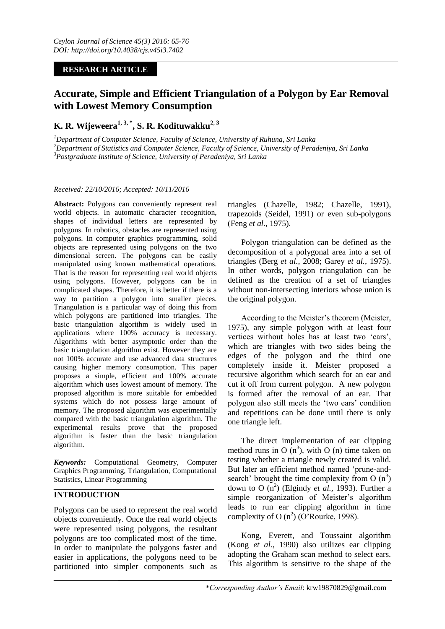## **RESEARCH ARTICLE**

# **Accurate, Simple and Efficient Triangulation of a Polygon by Ear Removal with Lowest Memory Consumption**

## **K. R. Wijeweera1, 3, \* , S. R. Kodituwakku2, 3**

*<sup>1</sup>Department of Computer Science, Faculty of Science, University of Ruhuna, Sri Lanka <sup>2</sup>Department of Statistics and Computer Science, Faculty of Science, University of Peradeniya, Sri Lanka <sup>3</sup>Postgraduate Institute of Science, University of Peradeniya, Sri Lanka*

### *Received: 22/10/2016; Accepted: 10/11/2016*

**Abstract:** Polygons can conveniently represent real world objects. In automatic character recognition, shapes of individual letters are represented by polygons. In robotics, obstacles are represented using polygons. In computer graphics programming, solid objects are represented using polygons on the two dimensional screen. The polygons can be easily manipulated using known mathematical operations. That is the reason for representing real world objects using polygons. However, polygons can be in complicated shapes. Therefore, it is better if there is a way to partition a polygon into smaller pieces. Triangulation is a particular way of doing this from which polygons are partitioned into triangles. The basic triangulation algorithm is widely used in applications where 100% accuracy is necessary. Algorithms with better asymptotic order than the basic triangulation algorithm exist. However they are not 100% accurate and use advanced data structures causing higher memory consumption. This paper proposes a simple, efficient and 100% accurate algorithm which uses lowest amount of memory. The proposed algorithm is more suitable for embedded systems which do not possess large amount of memory. The proposed algorithm was experimentally compared with the basic triangulation algorithm. The experimental results prove that the proposed algorithm is faster than the basic triangulation algorithm.

*Keywords:* Computational Geometry, Computer Graphics Programming, Triangulation, Computational Statistics, Linear Programming

## **INTRODUCTION**

Polygons can be used to represent the real world objects conveniently. Once the real world objects were represented using polygons, the resultant polygons are too complicated most of the time. In order to manipulate the polygons faster and easier in applications, the polygons need to be partitioned into simpler components such as

triangles (Chazelle, 1982; Chazelle, 1991), trapezoids (Seidel, 1991) or even sub-polygons (Feng *et al.*, 1975).

Polygon triangulation can be defined as the decomposition of a polygonal area into a set of triangles (Berg *et al.*, 2008; Garey *et al.*, 1975). In other words, polygon triangulation can be defined as the creation of a set of triangles without non-intersecting interiors whose union is the original polygon.

According to the Meister's theorem (Meister, 1975), any simple polygon with at least four vertices without holes has at least two 'ears', which are triangles with two sides being the edges of the polygon and the third one completely inside it. Meister proposed a recursive algorithm which search for an ear and cut it off from current polygon. A new polygon is formed after the removal of an ear. That polygon also still meets the 'two ears' condition and repetitions can be done until there is only one triangle left.

The direct implementation of ear clipping method runs in O  $(n^3)$ , with O (n) time taken on testing whether a triangle newly created is valid. But later an efficient method named 'prune-andsearch' brought the time complexity from  $O(n^3)$ down to O  $(n^2)$  (Elgindy *et al.*, 1993). Further a simple reorganization of Meister's algorithm leads to run ear clipping algorithm in time complexity of O (n<sup>2</sup>) (O'Rourke, 1998).

Kong, Everett, and Toussaint algorithm (Kong *et al.*, 1990) also utilizes ear clipping adopting the Graham scan method to select ears. This algorithm is sensitive to the shape of the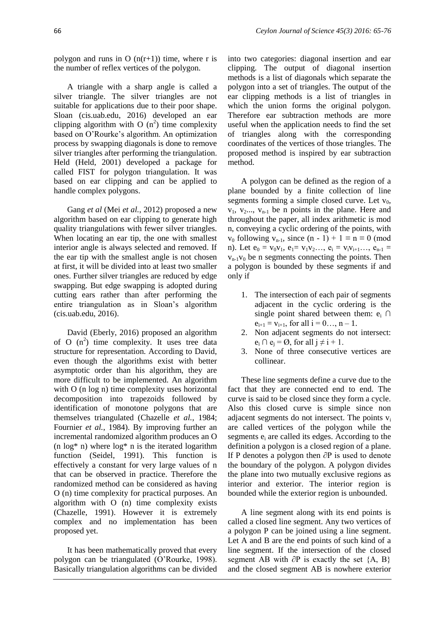polygon and runs in O  $(n(r+1))$  time, where r is the number of reflex vertices of the polygon.

A triangle with a sharp angle is called a silver triangle. The silver triangles are not suitable for applications due to their poor shape. Sloan (cis.uab.edu, 2016) developed an ear clipping algorithm with O  $(n^2)$  time complexity based on O'Rourke's algorithm. An optimization process by swapping diagonals is done to remove silver triangles after performing the triangulation. Held (Held, 2001) developed a package for called FIST for polygon triangulation. It was based on ear clipping and can be applied to handle complex polygons.

Gang *et al* (Mei *et al.*, 2012) proposed a new algorithm based on ear clipping to generate high quality triangulations with fewer silver triangles. When locating an ear tip, the one with smallest interior angle is always selected and removed. If the ear tip with the smallest angle is not chosen at first, it will be divided into at least two smaller ones. Further silver triangles are reduced by edge swapping. But edge swapping is adopted during cutting ears rather than after performing the entire triangulation as in Sloan's algorithm (cis.uab.edu, 2016).

David (Eberly, 2016) proposed an algorithm of O  $(n^2)$  time complexity. It uses tree data structure for representation. According to David, even though the algorithms exist with better asymptotic order than his algorithm, they are more difficult to be implemented. An algorithm with O (n log n) time complexity uses horizontal decomposition into trapezoids followed by identification of monotone polygons that are themselves triangulated (Chazelle *et al.*, 1984; Fournier *et al.*, 1984). By improving further an incremental randomized algorithm produces an O (n  $log^*$  n) where  $log^*$  n is the iterated logarithm function (Seidel, 1991). This function is effectively a constant for very large values of n that can be observed in practice. Therefore the randomized method can be considered as having O (n) time complexity for practical purposes. An algorithm with O (n) time complexity exists (Chazelle, 1991). However it is extremely complex and no implementation has been proposed yet.

It has been mathematically proved that every polygon can be triangulated (O'Rourke, 1998). Basically triangulation algorithms can be divided into two categories: diagonal insertion and ear clipping. The output of diagonal insertion methods is a list of diagonals which separate the polygon into a set of triangles. The output of the ear clipping methods is a list of triangles in which the union forms the original polygon. Therefore ear subtraction methods are more useful when the application needs to find the set of triangles along with the corresponding coordinates of the vertices of those triangles. The proposed method is inspired by ear subtraction method.

A polygon can be defined as the region of a plane bounded by a finite collection of line segments forming a simple closed curve. Let  $v_0$ ,  $v_1$ ,  $v_2$ ,  $v_{n-1}$  be n points in the plane. Here and throughout the paper, all index arithmetic is mod n, conveying a cyclic ordering of the points, with  $v_0$  following  $v_{n-1}$ , since  $(n - 1) + 1 \equiv n \equiv 0 \pmod{m}$ n). Let  $e_0 = v_0v_1$ ,  $e_1 = v_1v_2...$ ,  $e_i = v_iv_{i+1}...$ ,  $e_{n-1}$  $v_{n-1}v_0$  be n segments connecting the points. Then a polygon is bounded by these segments if and only if

- 1. The intersection of each pair of segments adjacent in the cyclic ordering is the single point shared between them:  $e_i \cap$  $e_{i+1} = v_{i+1}$ , for all  $i = 0...$ , n - 1.
- 2. Non adjacent segments do not intersect:  $e_i \cap e_j = \emptyset$ , for all  $j \neq i + 1$ .
- 3. None of three consecutive vertices are collinear.

These line segments define a curve due to the fact that they are connected end to end. The curve is said to be closed since they form a cycle. Also this closed curve is simple since non adjacent segments do not intersect. The points v<sup>i</sup> are called vertices of the polygon while the segments  $e_i$  are called its edges. According to the definition a polygon is a closed region of a plane. If P denotes a polygon then ∂P is used to denote the boundary of the polygon. A polygon divides the plane into two mutually exclusive regions as interior and exterior. The interior region is bounded while the exterior region is unbounded.

A line segment along with its end points is called a closed line segment. Any two vertices of a polygon P can be joined using a line segment. Let A and B are the end points of such kind of a line segment. If the intersection of the closed segment AB with ∂P is exactly the set  ${A, B}$ and the closed segment AB is nowhere exterior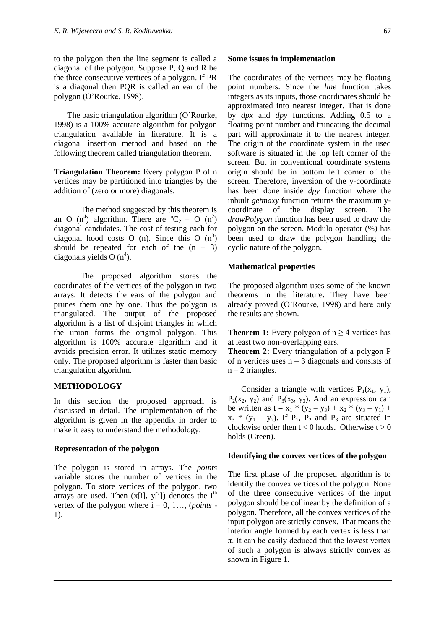to the polygon then the line segment is called a diagonal of the polygon. Suppose P, Q and R be the three consecutive vertices of a polygon. If PR is a diagonal then PQR is called an ear of the polygon (O'Rourke, 1998).

The basic triangulation algorithm (O'Rourke, 1998) is a 100% accurate algorithm for polygon triangulation available in literature. It is a diagonal insertion method and based on the following theorem called triangulation theorem.

**Triangulation Theorem:** Every polygon P of n vertices may be partitioned into triangles by the addition of (zero or more) diagonals.

The method suggested by this theorem is an O (n<sup>4</sup>) algorithm. There are  ${}^nC_2 = O (n^2)$ diagonal candidates. The cost of testing each for diagonal hood costs O (n). Since this O  $(n^3)$ should be repeated for each of the  $(n - 3)$ diagonals yields  $O(n^4)$ .

The proposed algorithm stores the coordinates of the vertices of the polygon in two arrays. It detects the ears of the polygon and prunes them one by one. Thus the polygon is triangulated. The output of the proposed algorithm is a list of disjoint triangles in which the union forms the original polygon. This algorithm is 100% accurate algorithm and it avoids precision error. It utilizes static memory only. The proposed algorithm is faster than basic triangulation algorithm.

#### **METHODOLOGY**

In this section the proposed approach is discussed in detail. The implementation of the algorithm is given in the appendix in order to make it easy to understand the methodology.

#### **Representation of the polygon**

The polygon is stored in arrays. The *points* variable stores the number of vertices in the polygon. To store vertices of the polygon, two arrays are used. Then  $(x[i], y[i])$  denotes the  $i<sup>th</sup>$ vertex of the polygon where  $i = 0, 1, \ldots$  (*points* -1).

#### **Some issues in implementation**

The coordinates of the vertices may be floating point numbers. Since the *line* function takes integers as its inputs, those coordinates should be approximated into nearest integer. That is done by *dpx* and *dpy* functions. Adding 0.5 to a floating point number and truncating the decimal part will approximate it to the nearest integer. The origin of the coordinate system in the used software is situated in the top left corner of the screen. But in conventional coordinate systems origin should be in bottom left corner of the screen. Therefore, inversion of the y-coordinate has been done inside *dpy* function where the inbuilt *getmaxy* function returns the maximum ycoordinate of the display screen. The *drawPolygon* function has been used to draw the polygon on the screen. Modulo operator (%) has been used to draw the polygon handling the cyclic nature of the polygon.

### **Mathematical properties**

The proposed algorithm uses some of the known theorems in the literature. They have been already proved (O'Rourke, 1998) and here only the results are shown.

**Theorem 1:** Every polygon of  $n \geq 4$  vertices has at least two non-overlapping ears.

**Theorem 2:** Every triangulation of a polygon P of n vertices uses  $n - 3$  diagonals and consists of  $n - 2$  triangles.

Consider a triangle with vertices  $P_1(x_1, y_1)$ ,  $P_2(x_2, y_2)$  and  $P_3(x_3, y_3)$ . And an expression can be written as  $t = x_1 * (y_2 - y_3) + x_2 * (y_3 - y_1) +$  $x_3$  \* (y<sub>1</sub> – y<sub>2</sub>). If P<sub>1</sub>, P<sub>2</sub> and P<sub>3</sub> are situated in clockwise order then  $t < 0$  holds. Otherwise  $t > 0$ holds (Green).

#### **Identifying the convex vertices of the polygon**

The first phase of the proposed algorithm is to identify the convex vertices of the polygon. None of the three consecutive vertices of the input polygon should be collinear by the definition of a polygon. Therefore, all the convex vertices of the input polygon are strictly convex. That means the interior angle formed by each vertex is less than  $\pi$ . It can be easily deduced that the lowest vertex of such a polygon is always strictly convex as shown in Figure 1.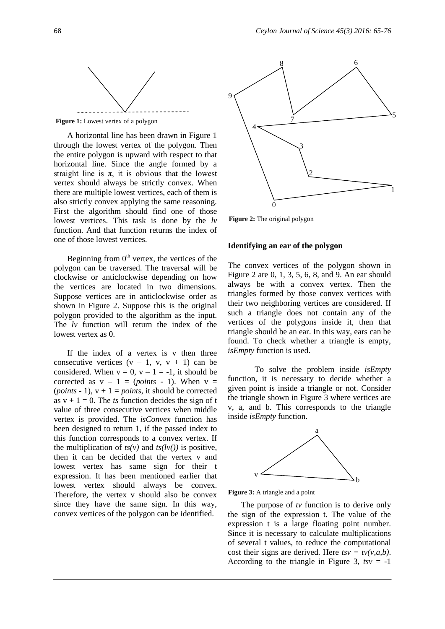

**Figure 1:** Lowest vertex of a polygon

A horizontal line has been drawn in Figure 1 through the lowest vertex of the polygon. Then the entire polygon is upward with respect to that horizontal line. Since the angle formed by a straight line is  $\pi$ , it is obvious that the lowest vertex should always be strictly convex. When there are multiple lowest vertices, each of them is also strictly convex applying the same reasoning. First the algorithm should find one of those lowest vertices. This task is done by the *lv* function. And that function returns the index of one of those lowest vertices.

Beginning from  $0<sup>th</sup>$  vertex, the vertices of the polygon can be traversed. The traversal will be clockwise or anticlockwise depending on how the vertices are located in two dimensions. Suppose vertices are in anticlockwise order as shown in Figure 2. Suppose this is the original polygon provided to the algorithm as the input. The *lv* function will return the index of the lowest vertex as 0.

If the index of a vertex is v then three consecutive vertices  $(v - 1, v, v + 1)$  can be considered. When  $v = 0$ ,  $v - 1 = -1$ , it should be corrected as  $v - 1 = (points - 1)$ . When  $v =$ (*points* - 1),  $v + 1 = points$ , it should be corrected as  $v + 1 = 0$ . The *ts* function decides the sign of t value of three consecutive vertices when middle vertex is provided. The *isConvex* function has been designed to return 1, if the passed index to this function corresponds to a convex vertex. If the multiplication of  $ts(v)$  and  $ts(lv)$  is positive, then it can be decided that the vertex v and lowest vertex has same sign for their t expression. It has been mentioned earlier that lowest vertex should always be convex. Therefore, the vertex v should also be convex since they have the same sign. In this way, convex vertices of the polygon can be identified.



**Figure 2:** The original polygon

#### **Identifying an ear of the polygon**

The convex vertices of the polygon shown in Figure 2 are 0, 1, 3, 5, 6, 8, and 9. An ear should always be with a convex vertex. Then the triangles formed by those convex vertices with their two neighboring vertices are considered. If such a triangle does not contain any of the vertices of the polygons inside it, then that triangle should be an ear. In this way, ears can be found. To check whether a triangle is empty, *isEmpty* function is used.

To solve the problem inside *isEmpty* function, it is necessary to decide whether a given point is inside a triangle or not. Consider the triangle shown in Figure 3 where vertices are v, a, and b. This corresponds to the triangle inside *isEmpty* function.



**Figure 3:** A triangle and a point

The purpose of *tv* function is to derive only the sign of the expression t. The value of the expression t is a large floating point number. Since it is necessary to calculate multiplications of several t values, to reduce the computational cost their signs are derived. Here  $tsv = tv(v,a,b)$ . According to the triangle in Figure 3,  $tsv = -1$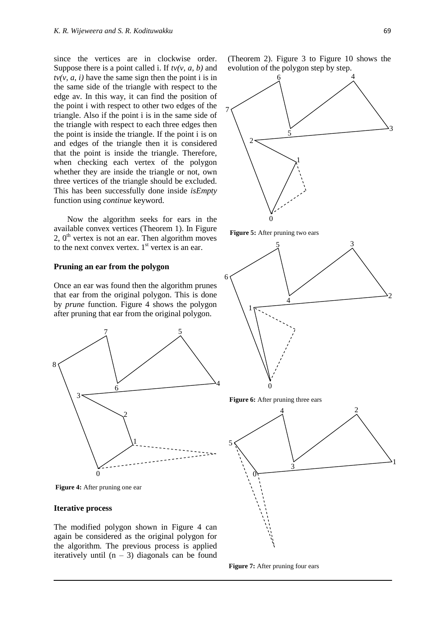since the vertices are in clockwise order. Suppose there is a point called i. If *tv(v, a, b)* and  $tv(v, a, i)$  have the same sign then the point i is in the same side of the triangle with respect to the edge av. In this way, it can find the position of the point i with respect to other two edges of the triangle. Also if the point i is in the same side of the triangle with respect to each three edges then the point is inside the triangle. If the point i is on and edges of the triangle then it is considered that the point is inside the triangle. Therefore, when checking each vertex of the polygon whether they are inside the triangle or not, own three vertices of the triangle should be excluded. This has been successfully done inside *isEmpty* function using *continue* keyword.

Now the algorithm seeks for ears in the available convex vertices (Theorem 1). In Figure 2,  $0<sup>th</sup>$  vertex is not an ear. Then algorithm moves to the next convex vertex.  $1<sup>st</sup>$  vertex is an ear.

## **Pruning an ear from the polygon**

Once an ear was found then the algorithm prunes that ear from the original polygon. This is done by *prune* function. Figure 4 shows the polygon after pruning that ear from the original polygon.



**Figure 4:** After pruning one ear

#### **Iterative process**

The modified polygon shown in Figure 4 can again be considered as the original polygon for the algorithm. The previous process is applied iteratively until  $(n - 3)$  diagonals can be found

(Theorem 2). Figure 3 to Figure 10 shows the evolution of the polygon step by step.







**Figure 6:** After pruning three ears



**Figure 7:** After pruning four ears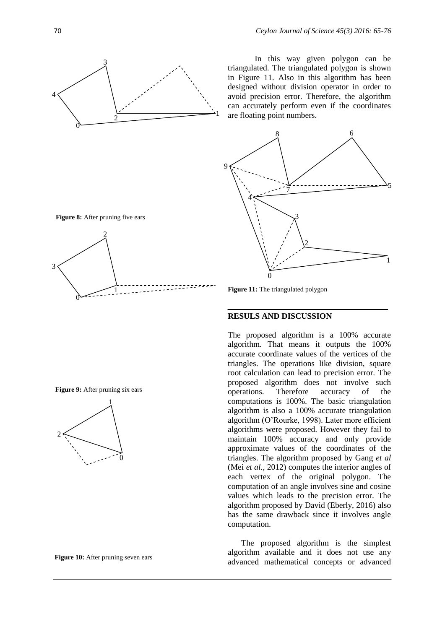

In this way given polygon can be triangulated. The triangulated polygon is shown in Figure 11. Also in this algorithm has been designed without division operator in order to avoid precision error. Therefore, the algorithm can accurately perform even if the coordinates are floating point numbers.





#### **RESULS AND DISCUSSION**

The proposed algorithm is a 100% accurate algorithm. That means it outputs the 100% accurate coordinate values of the vertices of the triangles. The operations like division, square root calculation can lead to precision error. The proposed algorithm does not involve such operations. Therefore accuracy of the computations is 100%. The basic triangulation algorithm is also a 100% accurate triangulation algorithm (O'Rourke, 1998). Later more efficient algorithms were proposed. However they fail to maintain 100% accuracy and only provide approximate values of the coordinates of the triangles. The algorithm proposed by Gang *et al* (Mei *et al.*, 2012) computes the interior angles of each vertex of the original polygon. The computation of an angle involves sine and cosine values which leads to the precision error. The algorithm proposed by David (Eberly, 2016) also has the same drawback since it involves angle computation.

The proposed algorithm is the simplest algorithm available and it does not use any advanced mathematical concepts or advanced





**Figure 9:** After pruning six ears



**Figure 10:** After pruning seven ears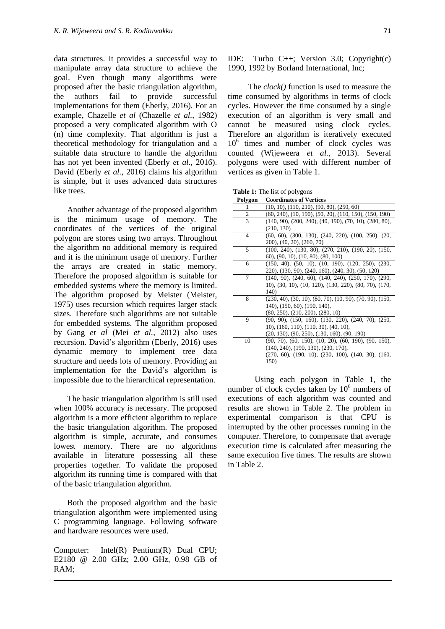data structures. It provides a successful way to manipulate array data structure to achieve the goal. Even though many algorithms were proposed after the basic triangulation algorithm, the authors fail to provide successful implementations for them (Eberly, 2016). For an example, Chazelle *et al* (Chazelle *et al.*, 1982) proposed a very complicated algorithm with O (n) time complexity. That algorithm is just a theoretical methodology for triangulation and a suitable data structure to handle the algorithm has not yet been invented (Eberly *et al.*, 2016). David (Eberly *et al.*, 2016) claims his algorithm is simple, but it uses advanced data structures like trees.

Another advantage of the proposed algorithm is the minimum usage of memory. The coordinates of the vertices of the original polygon are stores using two arrays. Throughout the algorithm no additional memory is required and it is the minimum usage of memory. Further the arrays are created in static memory. Therefore the proposed algorithm is suitable for embedded systems where the memory is limited. The algorithm proposed by Meister (Meister, 1975) uses recursion which requires larger stack sizes. Therefore such algorithms are not suitable for embedded systems. The algorithm proposed by Gang *et al* (Mei *et al.*, 2012) also uses recursion. David's algorithm (Eberly, 2016) uses dynamic memory to implement tree data structure and needs lots of memory. Providing an implementation for the David's algorithm is impossible due to the hierarchical representation.

The basic triangulation algorithm is still used when 100% accuracy is necessary. The proposed algorithm is a more efficient algorithm to replace the basic triangulation algorithm. The proposed algorithm is simple, accurate, and consumes lowest memory. There are no algorithms available in literature possessing all these properties together. To validate the proposed algorithm its running time is compared with that of the basic triangulation algorithm.

Both the proposed algorithm and the basic triangulation algorithm were implemented using C programming language. Following software and hardware resources were used.

Computer: Intel(R) Pentium(R) Dual CPU; E2180 @ 2.00 GHz; 2.00 GHz, 0.98 GB of RAM;

IDE: Turbo C++; Version 3.0; Copyright(c) 1990, 1992 by Borland International, Inc;

 The *clock()* function is used to measure the time consumed by algorithms in terms of clock cycles. However the time consumed by a single execution of an algorithm is very small and cannot be measured using clock cycles. Therefore an algorithm is iteratively executed 10<sup>6</sup> times and number of clock cycles was counted (Wijeweera *et al.*, 2013). Several polygons were used with different number of vertices as given in Table 1.

| Table 1: The list of polygons |  |  |  |  |  |  |
|-------------------------------|--|--|--|--|--|--|
|-------------------------------|--|--|--|--|--|--|

| Polygon        | <b>Coordinates of Vertices</b>                             |
|----------------|------------------------------------------------------------|
| 1              | $(10, 10), (110, 210), (90, 80), (250, 60)$                |
| 2              | $(60, 240), (10, 190), (50, 20), (110, 150), (150, 190)$   |
| 3              | $(140, 90), (200, 240), (40, 190), (70, 10), (280, 80),$   |
|                | (210, 130)                                                 |
| $\overline{4}$ | $(60, 60), (300, 130), (240, 220), (100, 250), (20,$       |
|                | 200), (40, 20), (260, 70)                                  |
| 5              | $(100, 240), (130, 80), (270, 210), (190, 20), (150,$      |
|                | 60), (90, 10), (10, 80), (80, 100)                         |
| 6              | $(150, 40), (50, 10), (10, 190), (120, 250), (230,$        |
|                | 220), (130, 90), (240, 160), (240, 30), (50, 120)          |
| 7              | $(140, 90), (240, 60), (140, 240), (250, 170), (290,$      |
|                | 10), (30, 10), (10, 120), (130, 220), (80, 70), (170,      |
|                | 140)                                                       |
| 8              | $(230, 40), (30, 10), (80, 70), (10, 90), (70, 90), (150,$ |
|                | 140), (150, 60), (190, 140),                               |
|                | (80, 250), (210, 200), (280, 10)                           |
| 9              | $(90, 90), (150, 160), (130, 220), (240, 70), (250,$       |
|                | $(10)$ , $(160, 110)$ , $(110, 30)$ , $(40, 10)$ ,         |
|                | $(20, 130), (90, 250), (130, 160), (90, 190)$              |
| 10             | $(90, 70), (60, 150), (10, 20), (60, 190), (90, 150),$     |
|                | (140, 240), (190, 130), (230, 170),                        |
|                | $(270, 60), (190, 10), (230, 100), (140, 30), (160,$       |
|                | 150)                                                       |

Using each polygon in Table 1, the number of clock cycles taken by  $10^6$  numbers of executions of each algorithm was counted and results are shown in Table 2. The problem in experimental comparison is that CPU is interrupted by the other processes running in the computer. Therefore, to compensate that average execution time is calculated after measuring the same execution five times. The results are shown in Table 2.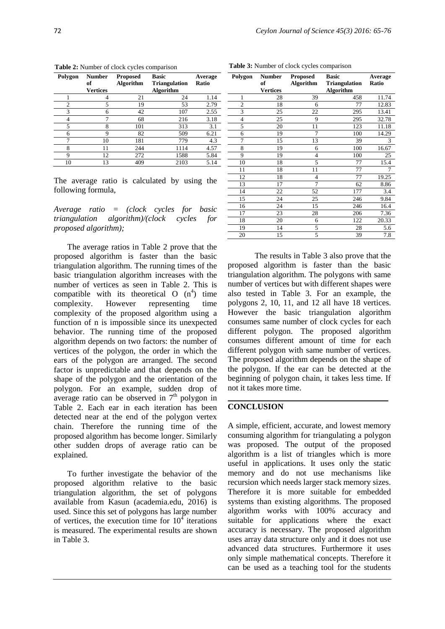| Polygon        | <b>Number</b><br>of<br><b>Vertices</b> | Proposed<br><b>Algorithm</b> | <b>Basic</b><br><b>Triangulation</b><br><b>Algorithm</b> | Average<br>Ratio |
|----------------|----------------------------------------|------------------------------|----------------------------------------------------------|------------------|
|                | 4                                      | 21                           | 24                                                       | 1.14             |
| $\overline{c}$ | 5                                      | 19                           | 53                                                       | 2.79             |
| 3              | 6                                      | 42                           | 107                                                      | 2.55             |
| 4              | 7                                      | 68                           | 216                                                      | 3.18             |
| 5              | 8                                      | 101                          | 313                                                      | 3.1              |
| 6              | 9                                      | 82                           | 509                                                      | 6.21             |
| ┑              | 10                                     | 181                          | 779                                                      | 4.3              |
| 8              | 11                                     | 244                          | 1114                                                     | 4.57             |
| 9              | 12                                     | 272                          | 1588                                                     | 5.84             |
| 10             | 13                                     | 409                          | 2103                                                     | 5.14             |

**Table 2:** Number of clock cycles comparison **Table 3:** Number of clock cycles comparison

The average ratio is calculated by using the following formula,

*Average ratio = (clock cycles for basic triangulation algorithm)/(clock cycles for proposed algorithm);*

The average ratios in Table 2 prove that the proposed algorithm is faster than the basic triangulation algorithm. The running times of the basic triangulation algorithm increases with the number of vertices as seen in Table 2. This is compatible with its theoretical  $O(n^4)$  time complexity. However representing time complexity of the proposed algorithm using a function of n is impossible since its unexpected behavior. The running time of the proposed algorithm depends on two factors: the number of vertices of the polygon, the order in which the ears of the polygon are arranged. The second factor is unpredictable and that depends on the shape of the polygon and the orientation of the polygon. For an example, sudden drop of average ratio can be observed in  $7<sup>th</sup>$  polygon in Table 2. Each ear in each iteration has been detected near at the end of the polygon vertex chain. Therefore the running time of the proposed algorithm has become longer. Similarly other sudden drops of average ratio can be explained.

To further investigate the behavior of the proposed algorithm relative to the basic triangulation algorithm, the set of polygons available from Kasun (academia.edu, 2016) is used. Since this set of polygons has large number of vertices, the execution time for  $10<sup>4</sup>$  iterations is measured. The experimental results are shown in Table 3.

| Polygon        | <b>Number</b><br>of | <b>Proposed</b><br><b>Algorithm</b> | <b>Basic</b><br><b>Triangulation</b> | Average<br>Ratio |
|----------------|---------------------|-------------------------------------|--------------------------------------|------------------|
|                | <b>Vertices</b>     |                                     | <b>Algorithm</b>                     |                  |
| 1              | 28                  | 39                                  | 458                                  | 11.74            |
| $\overline{c}$ | 18                  | 6                                   | 77                                   | 12.83            |
| 3              | 25                  | 22                                  | 295                                  | 13.41            |
| 4              | 25                  | 9                                   | 295                                  | 32.78            |
| 5              | 20                  | 11                                  | 123                                  | 11.18            |
| 6              | 19                  | $\overline{7}$                      | 100                                  | 14.29            |
| 7              | 15                  | 13                                  | 39                                   | 3                |
| 8              | 19                  | 6                                   | 100                                  | 16.67            |
| 9              | 19                  | 4                                   | 100                                  | 25               |
| 10             | 18                  | 5                                   | 77                                   | 15.4             |
| 11             | 18                  | 11                                  | 77                                   | 7                |
| 12             | 18                  | 4                                   | 77                                   | 19.25            |
| 13             | 17                  | 7                                   | 62                                   | 8.86             |
| 14             | 22                  | 52                                  | 177                                  | 3.4              |
| 15             | 24                  | 25                                  | 246                                  | 9.84             |
| 16             | 24                  | 15                                  | 246                                  | 16.4             |
| 17             | 23                  | 28                                  | 206                                  | 7.36             |
| 18             | 20                  | 6                                   | 122                                  | 20.33            |
| 19             | 14                  | 5                                   | 28                                   | 5.6              |
| 20             | 15                  | 5                                   | 39                                   | 7.8              |

The results in Table 3 also prove that the proposed algorithm is faster than the basic triangulation algorithm. The polygons with same number of vertices but with different shapes were also tested in Table 3. For an example, the polygons 2, 10, 11, and 12 all have 18 vertices. However the basic triangulation algorithm consumes same number of clock cycles for each different polygon. The proposed algorithm consumes different amount of time for each different polygon with same number of vertices. The proposed algorithm depends on the shape of the polygon. If the ear can be detected at the beginning of polygon chain, it takes less time. If not it takes more time.

## **CONCLUSION**

A simple, efficient, accurate, and lowest memory consuming algorithm for triangulating a polygon was proposed. The output of the proposed algorithm is a list of triangles which is more useful in applications. It uses only the static memory and do not use mechanisms like recursion which needs larger stack memory sizes. Therefore it is more suitable for embedded systems than existing algorithms. The proposed algorithm works with 100% accuracy and suitable for applications where the exact accuracy is necessary. The proposed algorithm uses array data structure only and it does not use advanced data structures. Furthermore it uses only simple mathematical concepts. Therefore it can be used as a teaching tool for the students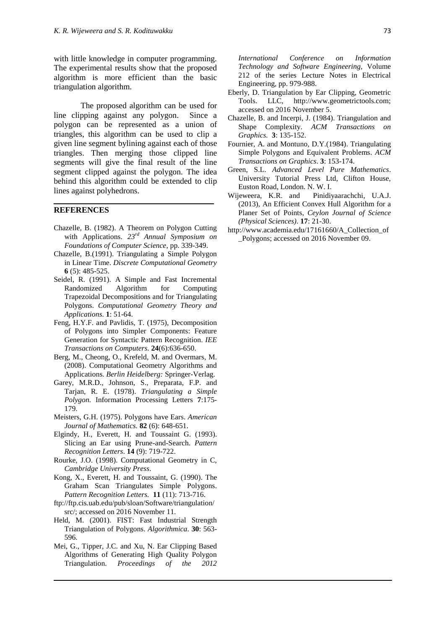with little knowledge in computer programming. The experimental results show that the proposed algorithm is more efficient than the basic triangulation algorithm.

The proposed algorithm can be used for line clipping against any polygon. Since a polygon can be represented as a union of triangles, this algorithm can be used to clip a given line segment bylining against each of those triangles. Then merging those clipped line segments will give the final result of the line segment clipped against the polygon. The idea behind this algorithm could be extended to clip lines against polyhedrons.

## **REFERENCES**

- Chazelle, B. (1982). A Theorem on Polygon Cutting with Applications. *23rd Annual Symposium on Foundations of Computer Science*, pp. 339-349.
- Chazelle, B.(1991). Triangulating a Simple Polygon in Linear Time. *Discrete Computational Geometry* **6** (5): 485-525.
- Seidel, R. (1991). A Simple and Fast Incremental Randomized Algorithm for Computing Trapezoidal Decompositions and for Triangulating Polygons. *Computational Geometry Theory and Applications.* **1**: 51-64.
- Feng, H.Y.F. and Pavlidis, T. (1975), Decomposition of Polygons into Simpler Components: Feature Generation for Syntactic Pattern Recognition. *IEE Transactions on Computers.* **24**(6):636-650.
- Berg, M., Cheong, O., Krefeld, M. and Overmars, M. (2008). Computational Geometry Algorithms and Applications. *Berlin Heidelberg:* Springer-Verlag.
- Garey, M.R.D., Johnson, S., Preparata, F.P. and Tarjan, R. E. (1978). *Triangulating a Simple Polygon.* Information Processing Letters **7**:175- 179.
- Meisters, G.H. (1975). Polygons have Ears. *American Journal of Mathematics.* **82** (6): 648-651.
- Elgindy, H., Everett, H. and Toussaint G. (1993). Slicing an Ear using Prune-and-Search. *Pattern Recognition Letters*. **14** (9): 719-722.
- Rourke, J.O. (1998). Computational Geometry in C, *Cambridge University Press*.
- Kong, X., Everett, H. and Toussaint, G. (1990). The Graham Scan Triangulates Simple Polygons. *Pattern Recognition Letters.* **11** (11): 713-716.
- ftp://ftp.cis.uab.edu/pub/sloan/Software/triangulation/ src/; accessed on 2016 November 11.
- Held, M. (2001). FIST: Fast Industrial Strength Triangulation of Polygons. *Algorithmica*. **30**: 563- 596.
- Mei, G., Tipper, J.C. and Xu, N. Ear Clipping Based Algorithms of Generating High Quality Polygon Triangulation. *Proceedings of the 2012*

*International Conference on Information Technology and Software Engineering,* Volume 212 of the series Lecture Notes in Electrical Engineering, pp. 979-988.

- Eberly, D. Triangulation by Ear Clipping, Geometric Tools. LLC, http://www.geometrictools.com; accessed on 2016 November 5.
- Chazelle, B. and Incerpi, J. (1984). Triangulation and Shape Complexity. *ACM Transactions on Graphics.* **3**: 135-152.
- Fournier, A. and Montuno, D.Y.(1984). Triangulating Simple Polygons and Equivalent Problems. *ACM Transactions on Graphics*. **3**: 153-174.
- Green, S.L. *Advanced Level Pure Mathematics*. University Tutorial Press Ltd, Clifton House, Euston Road, London. N. W. I.
- Wijeweera, K.R. and Pinidiyaarachchi, U.A.J. (2013), An Efficient Convex Hull Algorithm for a Planer Set of Points, *Ceylon Journal of Science (Physical Sciences)*. **17**: 21-30.
- http://www.academia.edu/17161660/A\_Collection\_of \_Polygons; accessed on 2016 November 09.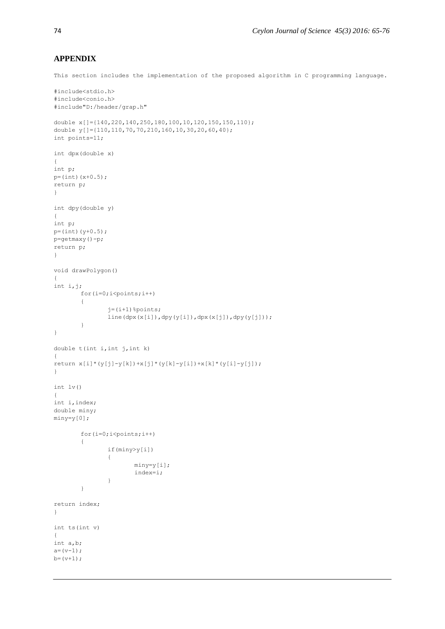#### **APPENDIX**

This section includes the implementation of the proposed algorithm in C programming language.

```
#include<stdio.h>
#include<conio.h>
#include"D:/header/grap.h"
double x[]={140,220,140,250,180,100,10,120,150,150,110};
double y[]={110,110,70,70,210,160,10,30,20,60,40};
int points=11;
int dpx(double x)
{
int p;
p=(int)(x+0.5);return p;
}
int dpy(double y)
{
int p;
p=(int)(y+0.5);
p=getmaxy()-p;
return p;
}
void drawPolygon()
{
int i,j;
       for(i=0; i <points;i++)
        {
               j=(i+1) %points;
               line(dpx(x[i]),dpy(y[i]),dpx(x[j]),dpy(y[j]));
        }
}
double t(int i, int j, int k){
return x[i] * (y[j]-y[k]) + x[j] * (y[k]-y[i]) + x[k] * (y[i]-y[j]);
}
int lv()
{
int i,index;
double miny;
miny=y[0];
        for(i=0; i <points;i++){
               if(miny>y[i])
               {
                       miny=y[i];
                       index=i;
               }
        }
return index;
}
int ts(int v)
{
int a,b;
a=(v-1);b=(v+1);
```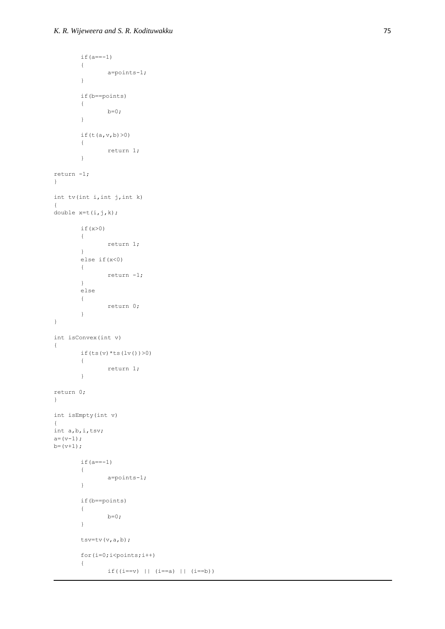```
if(a=-1)
       {
             a=points-1;
       }
       if(b==points)
       {
             b=0;}
       if(t(a,v,b)>0)
       \{return 1;
       }
return -1;
}
int tv(int i,int j,int k)
{
double x=t(i,j,k);if(x>0)
       \{return 1;
       }
       else if(x<0)
       {
             return -1;
       }
       else
       {
             return 0;
       }
}
int isConvex(int v)
{
       if(ts(v) *ts(lv()) >0)
       {
             return 1;
       }
return 0;
}
int isEmpty(int v)
{
int a,b,i,tsv;
a=(v-1);b=(v+1);if(a=-1)
       {
             a=points-1;
       }
       if(b==points)
       {
             b=0;
       }
       tsv=tv(v,a,b);
       for(i=0; i <points;i++){
              if((i == v) || (i == a) || (i == b))
```